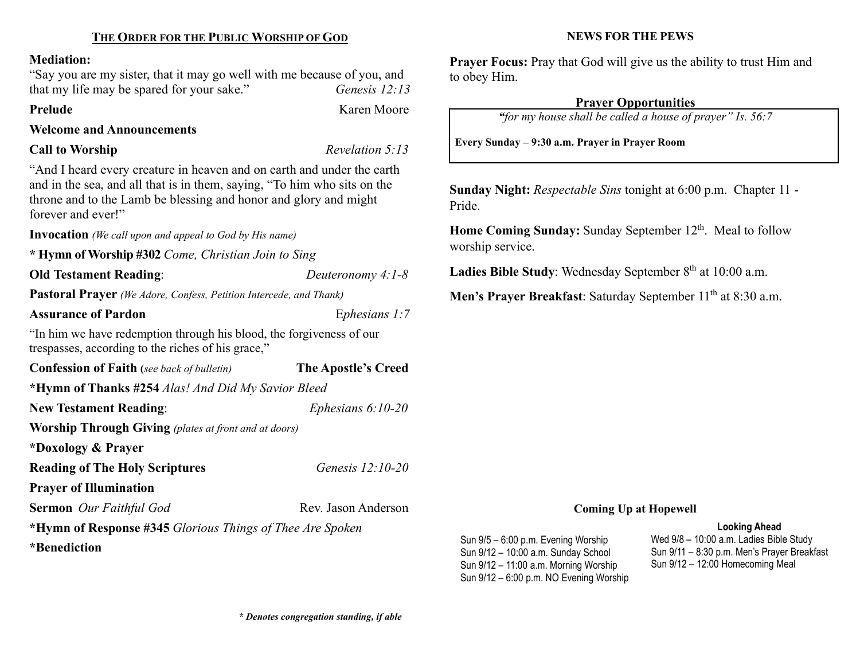#### Mediation:

"Say you are my sister, that it may go well with me because of you, and that my life may be spared for your sake." Genesis 12:13

### Prelude Karen Moore

Welcome and Announcements

## Call to Worship Revelation 5:13

"And I heard every creature in heaven and on earth and under the earth and in the sea, and all that is in them, saying, "To him who sits on the throne and to the Lamb be blessing and honor and glory and might forever and ever!"

Invocation (We call upon and appeal to God by His name)

\* Hymn of Worship #302 Come, Christian Join to Sing

Old Testament Reading: Deuteronomy 4:1-8

Pastoral Prayer (We Adore, Confess, Petition Intercede, and Thank)

Assurance of Pardon Ephesians 1:7

"In him we have redemption through his blood, the forgiveness of our trespasses, according to the riches of his grace,"

Confession of Faith (see back of bulletin) The Apostle's Creed \*Hymn of Thanks #254 Alas! And Did My Savior Bleed New Testament Reading: Ephesians 6:10-20 Worship Through Giving (plates at front and at doors) \*Doxology & Prayer Reading of The Holy Scriptures Genesis 12:10-20 Prayer of Illumination

Sermon Our Faithful God Rev. Jason Anderson

\*Hymn of Response #345 Glorious Things of Thee Are Spoken \*Benediction

## NEWS FOR THE PEWS

Prayer Focus: Pray that God will give us the ability to trust Him and to obey Him.

## Prayer Opportunities

"for my house shall be called a house of prayer" Is. 56:7

Every Sunday – 9:30 a.m. Prayer in Prayer Room

Sunday Night: Respectable Sins tonight at 6:00 p.m. Chapter 11 - Pride.

Home Coming Sunday: Sunday September 12<sup>th</sup>. Meal to follow worship service.

Ladies Bible Study: Wednesday September  $8<sup>th</sup>$  at 10:00 a.m.

Men's Prayer Breakfast: Saturday September 11<sup>th</sup> at 8:30 a.m.

## Coming Up at Hopewell

#### Looking Ahead

Sun 9/5 – 6:00 p.m. Evening Worship Sun 9/12 – 10:00 a.m. Sunday School Sun 9/12 – 11:00 a.m. Morning Worship Sun 9/12 – 6:00 p.m. NO Evening Worship Wed 9/8 – 10:00 a.m. Ladies Bible Study Sun 9/11 – 8:30 p.m. Men's Prayer Breakfast Sun 9/12 – 12:00 Homecoming Meal